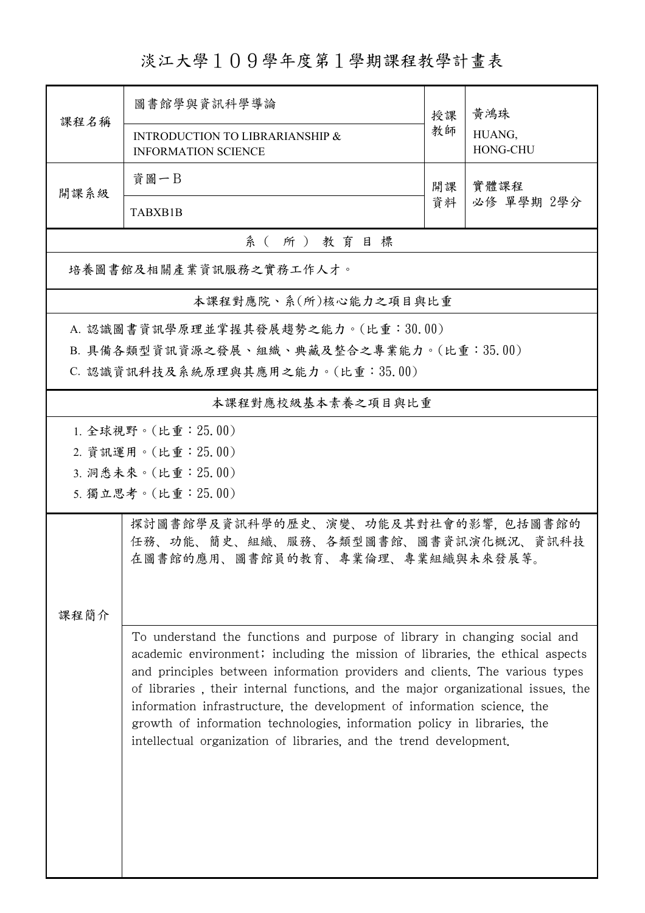淡江大學109學年度第1學期課程教學計畫表

|                                                                                                                    | 圖書館學與資訊科學導論                                                                                                                                                                                                                                                                                                                                                                                                                                                                                                                                                | 授課 | 黃鴻珠                |  |  |  |  |  |
|--------------------------------------------------------------------------------------------------------------------|------------------------------------------------------------------------------------------------------------------------------------------------------------------------------------------------------------------------------------------------------------------------------------------------------------------------------------------------------------------------------------------------------------------------------------------------------------------------------------------------------------------------------------------------------------|----|--------------------|--|--|--|--|--|
| 課程名稱                                                                                                               | INTRODUCTION TO LIBRARIANSHIP &<br><b>INFORMATION SCIENCE</b>                                                                                                                                                                                                                                                                                                                                                                                                                                                                                              | 教師 | HUANG,<br>HONG-CHU |  |  |  |  |  |
| 開課系級                                                                                                               | 資圖一B                                                                                                                                                                                                                                                                                                                                                                                                                                                                                                                                                       | 開課 | 實體課程               |  |  |  |  |  |
|                                                                                                                    | TABXB1B                                                                                                                                                                                                                                                                                                                                                                                                                                                                                                                                                    | 資料 | 必修 單學期 2學分         |  |  |  |  |  |
| 系(所)教育目標                                                                                                           |                                                                                                                                                                                                                                                                                                                                                                                                                                                                                                                                                            |    |                    |  |  |  |  |  |
| 培養圖書館及相關產業資訊服務之實務工作人才。                                                                                             |                                                                                                                                                                                                                                                                                                                                                                                                                                                                                                                                                            |    |                    |  |  |  |  |  |
| 本課程對應院、系(所)核心能力之項目與比重                                                                                              |                                                                                                                                                                                                                                                                                                                                                                                                                                                                                                                                                            |    |                    |  |  |  |  |  |
| A. 認識圖書資訊學原理並掌握其發展趨勢之能力。(比重:30.00)<br>B. 具備各類型資訊資源之發展、組織、典藏及整合之專業能力。(比重:35.00)<br>C. 認識資訊科技及系統原理與其應用之能力。(比重:35.00) |                                                                                                                                                                                                                                                                                                                                                                                                                                                                                                                                                            |    |                    |  |  |  |  |  |
| 本課程對應校級基本素養之項目與比重                                                                                                  |                                                                                                                                                                                                                                                                                                                                                                                                                                                                                                                                                            |    |                    |  |  |  |  |  |
| 1. 全球視野。(比重: 25.00)                                                                                                |                                                                                                                                                                                                                                                                                                                                                                                                                                                                                                                                                            |    |                    |  |  |  |  |  |
|                                                                                                                    | 2. 資訊運用。(比重: 25.00)                                                                                                                                                                                                                                                                                                                                                                                                                                                                                                                                        |    |                    |  |  |  |  |  |
|                                                                                                                    | 3. 洞悉未來。(比重: 25.00)                                                                                                                                                                                                                                                                                                                                                                                                                                                                                                                                        |    |                    |  |  |  |  |  |
|                                                                                                                    | 5. 獨立思考。(比重: 25.00)                                                                                                                                                                                                                                                                                                                                                                                                                                                                                                                                        |    |                    |  |  |  |  |  |
| 課程簡介                                                                                                               | 探討圖書館學及資訊科學的歷史、演變、功能及其對社會的影響,包括圖書館的<br>任務、功能、簡史、組織、服務、各類型圖書館、圖書資訊演化概況、資訊科技<br>在圖書館的應用、圖書館員的教育、專業倫理、專業組織與未來發展等。                                                                                                                                                                                                                                                                                                                                                                                                                                             |    |                    |  |  |  |  |  |
|                                                                                                                    | To understand the functions and purpose of library in changing social and<br>academic environment; including the mission of libraries, the ethical aspects<br>and principles between information providers and clients. The various types<br>of libraries, their internal functions, and the major organizational issues, the<br>information infrastructure, the development of information science, the<br>growth of information technologies, information policy in libraries, the<br>intellectual organization of libraries, and the trend development. |    |                    |  |  |  |  |  |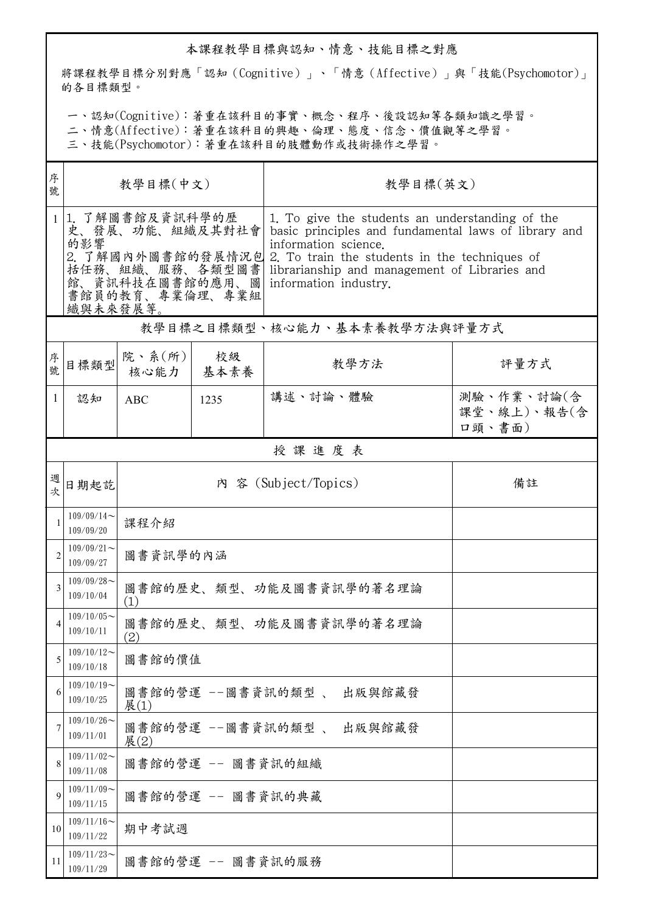## 本課程教學目標與認知、情意、技能目標之對應

將課程教學目標分別對應「認知(Cognitive)」、「情意(Affective)」與「技能(Psychomotor)」 的各目標類型。

一、認知(Cognitive):著重在該科目的事實、概念、程序、後設認知等各類知識之學習。

二、情意(Affective):著重在該科目的興趣、倫理、態度、信念、價值觀等之學習。

三、技能(Psychomotor):著重在該科目的肢體動作或技術操作之學習。

| 序<br>號         | 教學目標(中文)                                                                                                                            |                                  |                   | 教學目標(英文)                                                                                                                                                                                                                                                   |                                     |  |  |  |
|----------------|-------------------------------------------------------------------------------------------------------------------------------------|----------------------------------|-------------------|------------------------------------------------------------------------------------------------------------------------------------------------------------------------------------------------------------------------------------------------------------|-------------------------------------|--|--|--|
| 1              | 1. 了解圖書館及資訊科學的歷<br>史、發展、功能、組織及其對社會<br>的影響<br>2. 了解國內外圖書館的發展情況包<br>括任務、組織、服務、各類型圖書<br>館、資訊科技在圖書館的應用、圖<br>書館員的教育、專業倫理、專業組<br>織與未來發展等。 |                                  |                   | 1. To give the students an understanding of the<br>basic principles and fundamental laws of library and<br>information science.<br>2. To train the students in the techniques of<br>librarianship and management of Libraries and<br>information industry. |                                     |  |  |  |
|                | 教學目標之目標類型、核心能力、基本素養教學方法與評量方式                                                                                                        |                                  |                   |                                                                                                                                                                                                                                                            |                                     |  |  |  |
| 序號             | 目標類型                                                                                                                                | 院、系 $(\kappa)$<br>核心能力           | 校級<br>基本素養        | 教學方法                                                                                                                                                                                                                                                       | 評量方式                                |  |  |  |
| 1              | 認知                                                                                                                                  | <b>ABC</b>                       | 1235              | 講述、討論、體驗                                                                                                                                                                                                                                                   | 測驗、作業、討論(含<br>課堂、線上)、報告(含<br>口頭、書面) |  |  |  |
|                | 授課進度表                                                                                                                               |                                  |                   |                                                                                                                                                                                                                                                            |                                     |  |  |  |
| 週              | 日期起訖                                                                                                                                | 內 容 (Subject/Topics)             |                   |                                                                                                                                                                                                                                                            | 備註                                  |  |  |  |
|                | $109/09/14$ ~<br>109/09/20                                                                                                          | 課程介紹                             |                   |                                                                                                                                                                                                                                                            |                                     |  |  |  |
| $\overline{2}$ | $109/09/21$ ~<br>109/09/27                                                                                                          | 圖書資訊學的內涵                         |                   |                                                                                                                                                                                                                                                            |                                     |  |  |  |
| 3              | $109/09/28$ ~<br>109/10/04                                                                                                          | 圖書館的歷史、類型、功能及圖書資訊學的著名理論<br>(1)   |                   |                                                                                                                                                                                                                                                            |                                     |  |  |  |
|                | $109/10/05$ ~<br>109/10/11                                                                                                          | 圖書館的歷史、類型、功能及圖書資訊學的著名理論<br>(2)   |                   |                                                                                                                                                                                                                                                            |                                     |  |  |  |
| 5              | $109/10/12$ ~<br>109/10/18                                                                                                          | 圖書館的價值                           |                   |                                                                                                                                                                                                                                                            |                                     |  |  |  |
| 6              | $109/10/19$ ~<br>109/10/25                                                                                                          | 圖書館的營運 --圖書資訊的類型、 出版與館藏發<br>展(1) |                   |                                                                                                                                                                                                                                                            |                                     |  |  |  |
| 7              | $109/10/26$ ~<br>109/11/01                                                                                                          | 圖書館的營運 --圖書資訊的類型、 出版與館藏發<br>展(2) |                   |                                                                                                                                                                                                                                                            |                                     |  |  |  |
| 8              | $109/11/02$ ~<br>109/11/08                                                                                                          | 圖書館的營運 -- 圖書資訊的組織                |                   |                                                                                                                                                                                                                                                            |                                     |  |  |  |
| 9              | $109/11/09$ ~<br>109/11/15                                                                                                          | 圖書館的營運 -- 圖書資訊的典藏                |                   |                                                                                                                                                                                                                                                            |                                     |  |  |  |
| 10             | $109/11/16$ ~<br>109/11/22                                                                                                          | 期中考試週                            |                   |                                                                                                                                                                                                                                                            |                                     |  |  |  |
| 11             | $109/11/23$ ~<br>109/11/29                                                                                                          |                                  | 圖書館的營運 -- 圖書資訊的服務 |                                                                                                                                                                                                                                                            |                                     |  |  |  |